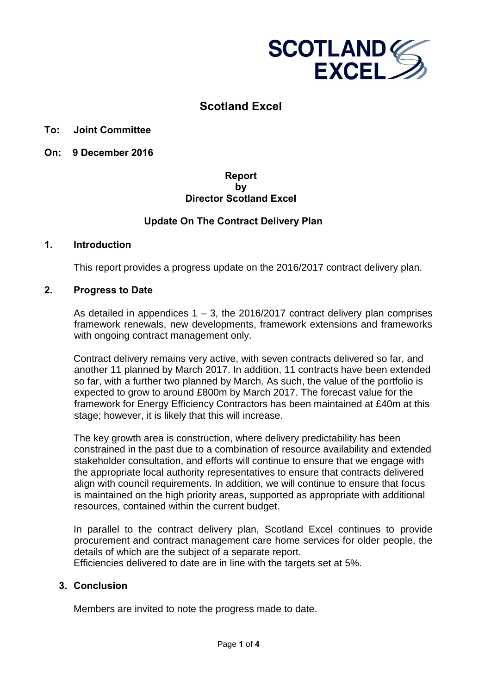

# **Scotland Excel**

**To: Joint Committee** 

**On: 9 December 2016**

### **Report by Director Scotland Excel**

## **Update On The Contract Delivery Plan**

### **1. Introduction**

This report provides a progress update on the 2016/2017 contract delivery plan.

### **2. Progress to Date**

As detailed in appendices  $1 - 3$ , the 2016/2017 contract delivery plan comprises framework renewals, new developments, framework extensions and frameworks with ongoing contract management only.

Contract delivery remains very active, with seven contracts delivered so far, and another 11 planned by March 2017. In addition, 11 contracts have been extended so far, with a further two planned by March. As such, the value of the portfolio is expected to grow to around £800m by March 2017. The forecast value for the framework for Energy Efficiency Contractors has been maintained at £40m at this stage; however, it is likely that this will increase.

The key growth area is construction, where delivery predictability has been constrained in the past due to a combination of resource availability and extended stakeholder consultation, and efforts will continue to ensure that we engage with the appropriate local authority representatives to ensure that contracts delivered align with council requirements. In addition, we will continue to ensure that focus is maintained on the high priority areas, supported as appropriate with additional resources, contained within the current budget.

In parallel to the contract delivery plan, Scotland Excel continues to provide procurement and contract management care home services for older people, the details of which are the subject of a separate report.

Efficiencies delivered to date are in line with the targets set at 5%.

### **3. Conclusion**

Members are invited to note the progress made to date.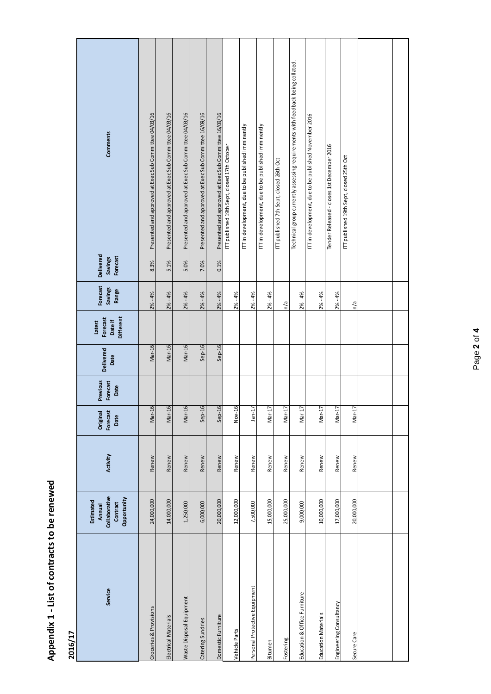| į        |
|----------|
|          |
| $\left($ |
| ပ္တ      |
|          |
| 2        |
|          |
| i<br>I   |
| in the i |
|          |
|          |
|          |
|          |
|          |
|          |
|          |
|          |
|          |
|          |
| j        |
|          |
|          |

**2016/17**

| Comments                                                        | Presented and approved at Exec Sub Committee 04/03/16 | Presented and approved at Exec Sub Committee 04/03/16 | Presented and approved at Exec Sub Committee 04/03/16 | Presented and approved at Exec Sub Committee 16/09/16 | Presented and approved at Exec Sub Committee 16/09/16 | IT published 19th Sept, closed 17th October | ITT in development, due to be published imminently | ITT in development, due to be published imminently | IT published 7th Sept, closed 26th Oct | Technical group currently assessing requirements with feedback being collated. | ITT in development, due to be published November 2016 | Tender Released - closes 1st December 2016 | ITT published 19th Sept, closed 25th Oct |  |  |
|-----------------------------------------------------------------|-------------------------------------------------------|-------------------------------------------------------|-------------------------------------------------------|-------------------------------------------------------|-------------------------------------------------------|---------------------------------------------|----------------------------------------------------|----------------------------------------------------|----------------------------------------|--------------------------------------------------------------------------------|-------------------------------------------------------|--------------------------------------------|------------------------------------------|--|--|
| Delivered<br>Forecast<br><b>Savings</b>                         | 8.3%                                                  | 5.1%                                                  | 5.0%                                                  | 7.0%                                                  | 0.1%                                                  |                                             |                                                    |                                                    |                                        |                                                                                |                                                       |                                            |                                          |  |  |
| Forecast<br><b>Savings</b><br>Range                             | $2% - 4%$                                             | $2% - 4%$                                             | $2\% - 4\%$                                           | $2% - 4%$                                             | $2\% - 4\%$                                           | $2% - 4%$                                   | $2% - 4%$                                          | $2% - 4%$                                          | n/a                                    | $2% - 4%$                                                                      | $2% - 4%$                                             | $2% - 4%$                                  | n/a                                      |  |  |
| <b>Different</b><br>Forecast<br>Date if<br>Latest               |                                                       |                                                       |                                                       |                                                       |                                                       |                                             |                                                    |                                                    |                                        |                                                                                |                                                       |                                            |                                          |  |  |
| Delivered<br>Date                                               | Mar-16                                                | Mar-16                                                | Mar-16                                                | $Sep-16$                                              | $Sep-16$                                              |                                             |                                                    |                                                    |                                        |                                                                                |                                                       |                                            |                                          |  |  |
| Previous<br>Forecast<br>Date                                    |                                                       |                                                       |                                                       |                                                       |                                                       |                                             |                                                    |                                                    |                                        |                                                                                |                                                       |                                            |                                          |  |  |
| Forecast<br>Original<br>Date                                    | Mar-16                                                | Mar-16                                                | Mar-16                                                | $Sep-16$                                              | Sep-16                                                | Nov-16                                      | $Jan-17$                                           | Mar-17                                             | Mar-17                                 | Mar-17                                                                         | Mar-17                                                | Mar-17                                     | Mar-17                                   |  |  |
| Activity                                                        | Renew                                                 | Renew                                                 | Renew                                                 | Renew                                                 | Renew                                                 | Renew                                       | Renew                                              | Renew                                              | Renew                                  | Renew                                                                          | Renew                                                 | Renew                                      | Renew                                    |  |  |
| Collaborative<br>Opportunity<br>Estimated<br>Contract<br>Annual | 24,000,000                                            | 14,000,000                                            | 1,250,000                                             | 6,000,000                                             | 20,000,000                                            | 12,000,000                                  | 7,500,000                                          | 15,000,000                                         | 25,000,000                             | 9,000,000                                                                      | 10,000,000                                            | 17,000,000                                 | 20,000,000                               |  |  |
| Service                                                         | Groceries & Provisions                                | Electrical Materials                                  | Waste Disposal Equipment                              | Catering Sundries                                     | Domestic Furniture                                    | Vehicle Parts                               | Personal Protective Equipment                      | Bitumen                                            | Fostering                              | Education & Office Furniture                                                   | Education Materials                                   | Engineering Consultancy                    | Secure Care                              |  |  |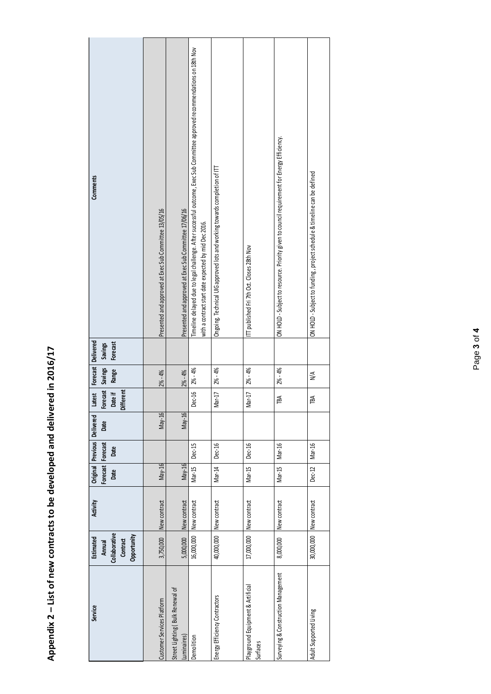Appendix 2 - List of new contracts to be developed and delivered in 2016/17 **Appendix 2 – List of new contracts to be developed and delivered in 2016/17** 

| Service                                         | Collaborative<br>Opportunity<br>Estimated<br>Contract<br>Annual | Activity                | Original Previous<br>Forecast Forecast<br>Date | Date          | Delivered<br>Date | Forecast<br>Different<br><b>Date if</b><br><b>Latest</b> | Forecast Delivered<br>Savings<br>Range | Forecast<br>Savings | Comments                                                                                                                                                                           |
|-------------------------------------------------|-----------------------------------------------------------------|-------------------------|------------------------------------------------|---------------|-------------------|----------------------------------------------------------|----------------------------------------|---------------------|------------------------------------------------------------------------------------------------------------------------------------------------------------------------------------|
| Customer Services Platform                      | 3,750,000                                                       | New contract            | May-16                                         |               | $May-16$          |                                                          | $2% - 4%$                              |                     | Presented and approved at Exec Sub Committee 13/05/16                                                                                                                              |
| Street Lighting (Bulk Renewal of<br>Luminaires) | 5,000,000                                                       | New contract            | May-16                                         |               | May-16            |                                                          | $2% - 4%$                              |                     | Presented and approved at ExecSub Committee 17/06/16                                                                                                                               |
| Demolition                                      |                                                                 | 16,000,000 New contract | Mar-15                                         | Dec-15        |                   | Dec-16                                                   | $2\% - 4\%$                            |                     | Timeline delayed due to legal challenge. After successful outcome, Exec Sub Committee approved recommendations on 18th Nov<br>with a contract start date expected by mid Dec 2016. |
| Energy Efficiency Contractors                   | 40,000,000                                                      | New contract            | Mar-14                                         | <b>Dec-16</b> |                   | Mar-17                                                   | $2\% - 4\%$                            |                     | Ongoing. Technical UIG approved lots and working towards completion of ITT                                                                                                         |
| Playground Equipment & Artificial<br>Surfaces   |                                                                 | 17,000,000 New contract | Mar-15                                         | <b>Dec-16</b> |                   | Mar-17                                                   | $2\% - 4\%$                            |                     | ITT published Fri 7th Oct. Closes 28th Nov                                                                                                                                         |
| Surveying & Construction Management             | 8,000,000                                                       | New contract            | Mar-15                                         | Mar-16        |                   | ГBA                                                      | $2\% - 4\%$                            |                     | ON HOLD - Subject to resource. Priority given to council requirement for Energy Efficiency.                                                                                        |
| Adult Supported Living                          | 30,000,000                                                      | New contract            | Dec-12                                         | Mar-16        |                   | <b>TBA</b>                                               | $\frac{4}{\sqrt{2}}$                   |                     | ON HOLD - Subject to funding, project schedule & timeline can be defined                                                                                                           |